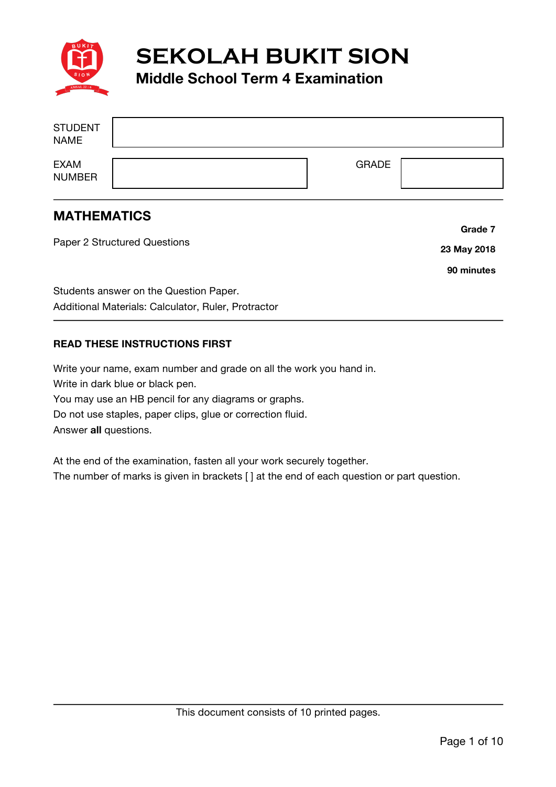

**SEKOLAH BUKIT SION**

## **Middle School Term 4 Examination**

| <b>STUDENT</b><br><b>NAME</b> |              |  |
|-------------------------------|--------------|--|
| <b>EXAM</b><br><b>NUMBER</b>  | <b>GRADE</b> |  |

## **MATHEMATICS**

Paper 2 Structured Questions Students answer on the Question Paper. Additional Materials: Calculator, Ruler, Protractor **Grade 7 23 May 2018 90 minutes**

## **READ THESE INSTRUCTIONS FIRST**

Write your name, exam number and grade on all the work you hand in. Write in dark blue or black pen. You may use an HB pencil for any diagrams or graphs. Do not use staples, paper clips, glue or correction fluid. Answer **all** questions.

At the end of the examination, fasten all your work securely together. The number of marks is given in brackets [ ] at the end of each question or part question.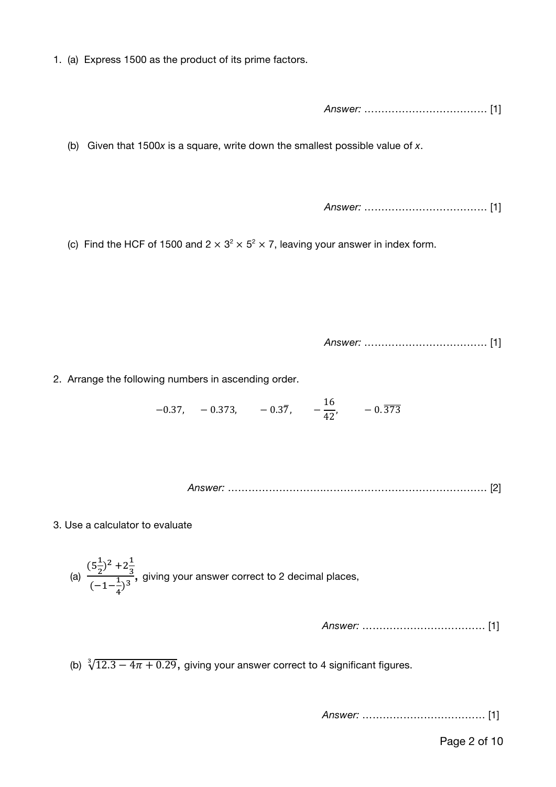1. (a) Express 1500 as the product of its prime factors.

*Answer:* ……………………………… [1]

(b) Given that 1500*x* is a square, write down the smallest possible value of *x*.

*Answer:* ……………………………… [1]

(c) Find the HCF of 1500 and  $2 \times 3^2 \times 5^2 \times 7$ , leaving your answer in index form.

*Answer:* ……………………………… [1]

2. Arrange the following numbers in ascending order.

 $-0.37, -0.373, -0.37, -\frac{16}{42}, -0.\overline{373}$ 

*Answer:* ……………………….………………………………………… [2]

3. Use a calculator to evaluate

(a)  $(5\frac{1}{2})$  $\frac{1}{2}$ )<sup>2</sup> + 2 $\frac{1}{3}$ 3  $\frac{(52)^{3} + 23}{(-1 - 1)^3}$ , giving your answer correct to 2 decimal places,

*Answer:* ……………………………… [1]

(b)  $\sqrt[3]{12.3 - 4\pi + 0.29}$ , giving your answer correct to 4 significant figures.

*Answer:* ……………………………… [1]

Page 2 of 10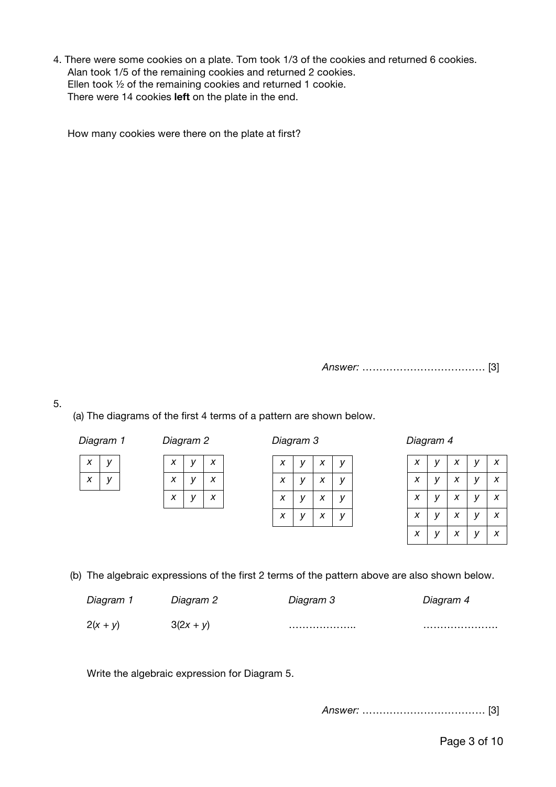4. There were some cookies on a plate. Tom took 1/3 of the cookies and returned 6 cookies. Alan took 1/5 of the remaining cookies and returned 2 cookies. Ellen took ½ of the remaining cookies and returned 1 cookie. There were 14 cookies **left** on the plate in the end.

How many cookies were there on the plate at first?

*Answer:* ……………………………… [3]

5.

(a) The diagrams of the first 4 terms of a pattern are shown below.

| Diagram 1 |  |  |
|-----------|--|--|
|-----------|--|--|

*x y x y*

*x y x x y x*

*x y x*

| X | v | X | v |
|---|---|---|---|
| X |   | X | v |
| x |   | х |   |
| х |   | х |   |

*Diagram 1 Diagram 2 Diagram 3 Diagram 4*

| X | V | X | V | X |
|---|---|---|---|---|
| X | y | X | y | X |
| X | V | X | y | X |
| X | y | X | y | X |
| X | v | X | v | X |

(b) The algebraic expressions of the first 2 terms of the pattern above are also shown below.

| Diagram 1  | Diagram 2   | Diagram 3 | Diagram 4 |
|------------|-------------|-----------|-----------|
| $2(x + y)$ | $3(2x + y)$ | .         |           |

Write the algebraic expression for Diagram 5.

*Answer:* ……………………………… [3]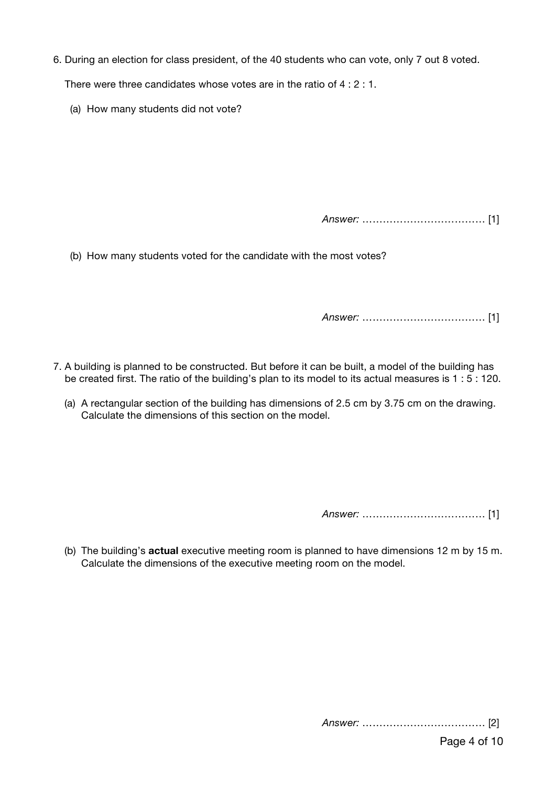6. During an election for class president, of the 40 students who can vote, only 7 out 8 voted.

There were three candidates whose votes are in the ratio of 4 : 2 : 1.

(a) How many students did not vote?

*Answer:* ……………………………… [1]

(b) How many students voted for the candidate with the most votes?

*Answer:* ……………………………… [1]

- 7. A building is planned to be constructed. But before it can be built, a model of the building has be created first. The ratio of the building's plan to its model to its actual measures is 1 : 5 : 120.
	- (a) A rectangular section of the building has dimensions of 2.5 cm by 3.75 cm on the drawing. Calculate the dimensions of this section on the model.

*Answer:* ……………………………… [1]

(b) The building's **actual** executive meeting room is planned to have dimensions 12 m by 15 m. Calculate the dimensions of the executive meeting room on the model.

*Answer:* ……………………………… [2]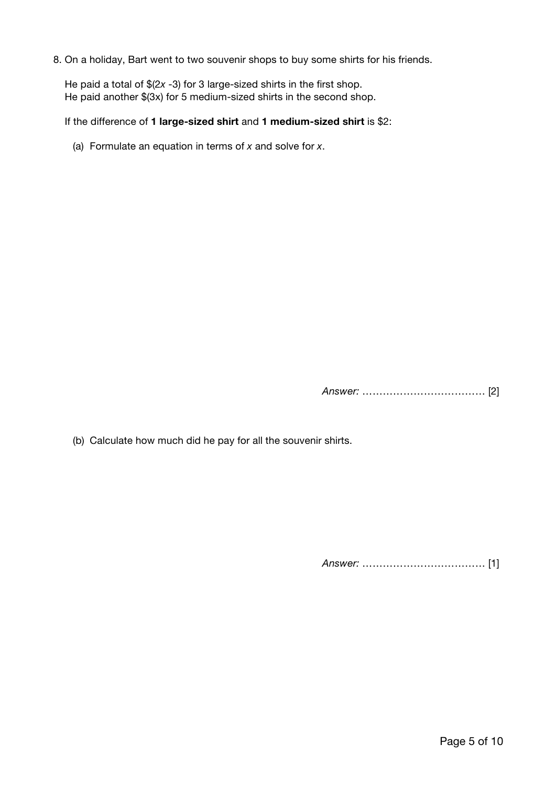8. On a holiday, Bart went to two souvenir shops to buy some shirts for his friends.

 He paid a total of \$(2*x* -3) for 3 large-sized shirts in the first shop. He paid another \$(3x) for 5 medium-sized shirts in the second shop.

If the difference of **1 large-sized shirt** and **1 medium-sized shirt** is \$2:

(a) Formulate an equation in terms of *x* and solve for *x*.

*Answer:* ……………………………… [2]

(b) Calculate how much did he pay for all the souvenir shirts.

*Answer:* ……………………………… [1]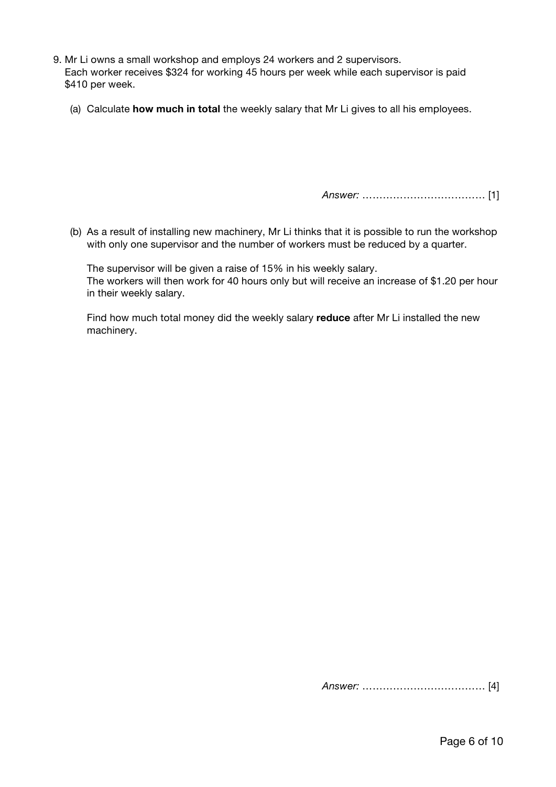- 9. Mr Li owns a small workshop and employs 24 workers and 2 supervisors. Each worker receives \$324 for working 45 hours per week while each supervisor is paid \$410 per week.
	- (a) Calculate **how much in total** the weekly salary that Mr Li gives to all his employees.

*Answer:* ……………………………… [1]

(b) As a result of installing new machinery, Mr Li thinks that it is possible to run the workshop with only one supervisor and the number of workers must be reduced by a quarter.

The supervisor will be given a raise of 15% in his weekly salary. The workers will then work for 40 hours only but will receive an increase of \$1.20 per hour in their weekly salary.

Find how much total money did the weekly salary **reduce** after Mr Li installed the new machinery.

*Answer:* ……………………………… [4]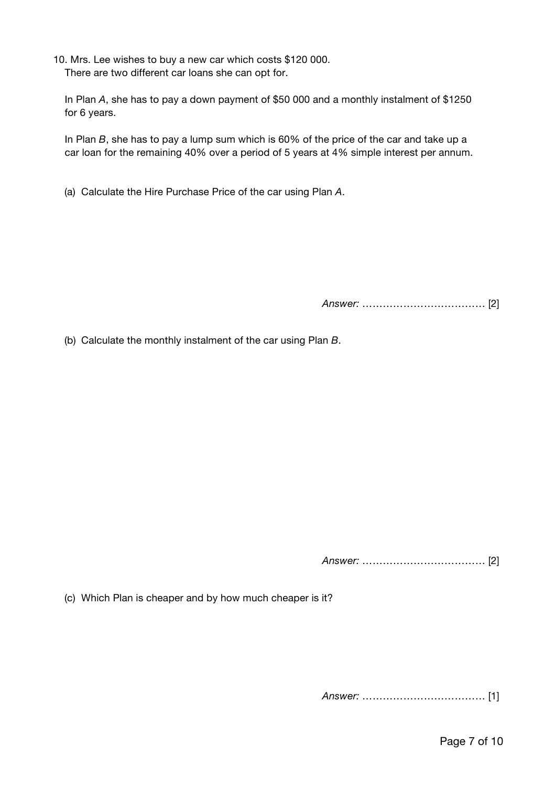10. Mrs. Lee wishes to buy a new car which costs \$120 000. There are two different car loans she can opt for.

 In Plan *A*, she has to pay a down payment of \$50 000 and a monthly instalment of \$1250 for 6 years.

 In Plan *B*, she has to pay a lump sum which is 60% of the price of the car and take up a car loan for the remaining 40% over a period of 5 years at 4% simple interest per annum.

(a) Calculate the Hire Purchase Price of the car using Plan *A*.

*Answer:* ……………………………… [2]

(b) Calculate the monthly instalment of the car using Plan *B*.

*Answer:* ……………………………… [2]

(c) Which Plan is cheaper and by how much cheaper is it?

*Answer:* ……………………………… [1]

Page 7 of 10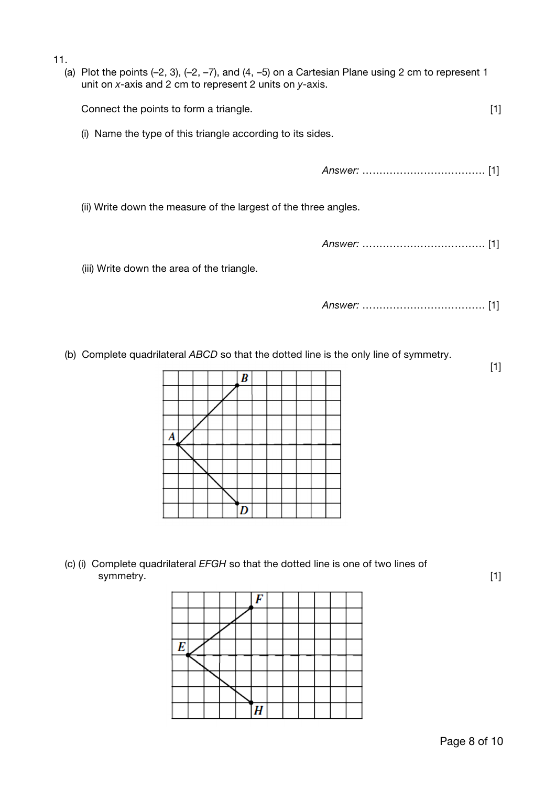11.

| . | (a) Plot the points $(-2, 3)$ , $(-2, -7)$ , and $(4, -5)$ on a Cartesian Plane using 2 cm to represent 1<br>unit on $x$ -axis and 2 cm to represent 2 units on $y$ -axis. |  |  |  |  |  |
|---|----------------------------------------------------------------------------------------------------------------------------------------------------------------------------|--|--|--|--|--|
|   | Connect the points to form a triangle.<br>$[1]$                                                                                                                            |  |  |  |  |  |
|   | Name the type of this triangle according to its sides.<br>(i)                                                                                                              |  |  |  |  |  |
|   |                                                                                                                                                                            |  |  |  |  |  |
|   | (ii) Write down the measure of the largest of the three angles.                                                                                                            |  |  |  |  |  |
|   |                                                                                                                                                                            |  |  |  |  |  |
|   | (iii) Write down the area of the triangle.                                                                                                                                 |  |  |  |  |  |
|   |                                                                                                                                                                            |  |  |  |  |  |

(b) Complete quadrilateral *ABCD* so that the dotted line is the only line of symmetry.



 (c) (i) Complete quadrilateral *EFGH* so that the dotted line is one of two lines of symmetry. [1]

[1]

| E |  |   |  |  |  |
|---|--|---|--|--|--|
|   |  |   |  |  |  |
|   |  |   |  |  |  |
|   |  |   |  |  |  |
|   |  | Ц |  |  |  |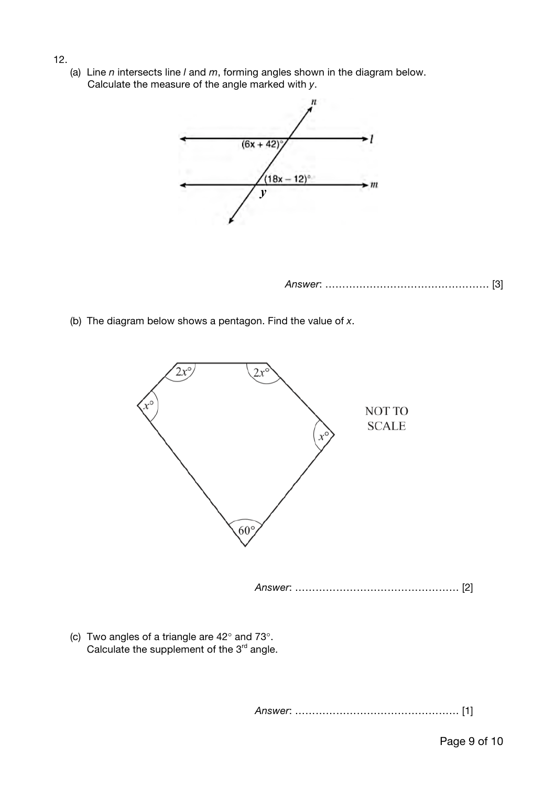(a) Line *n* intersects line *l* and *m*, forming angles shown in the diagram below. Calculate the measure of the angle marked with *y*.

12.



- *Answer*: ………………………………………… [3]
- (b) The diagram below shows a pentagon. Find the value of *x*.



(c) Two angles of a triangle are  $42^{\circ}$  and  $73^{\circ}$ . Calculate the supplement of the  $3<sup>rd</sup>$  angle.

*Answer*: ………………………………………… [1]